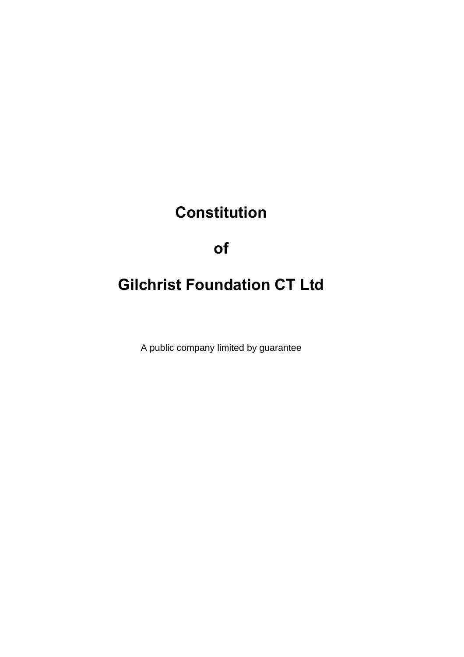# **Constitution**

# **of**

# **Gilchrist Foundation CT Ltd**

A public company limited by guarantee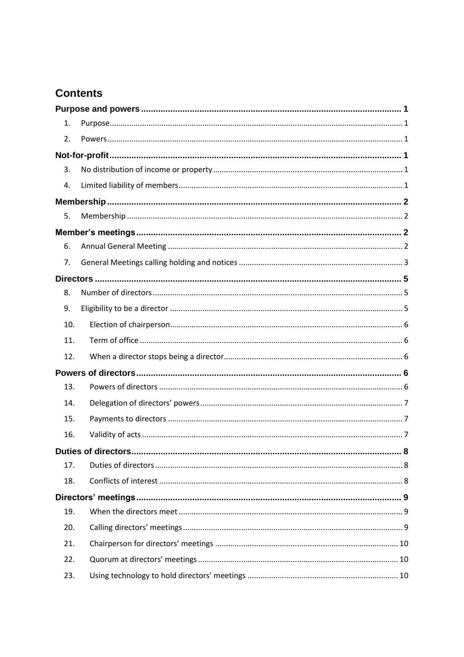# **Contents**

| 1.  |                           |  |  |  |
|-----|---------------------------|--|--|--|
| 2.  |                           |  |  |  |
|     |                           |  |  |  |
| 3.  |                           |  |  |  |
| 4.  |                           |  |  |  |
|     |                           |  |  |  |
| 5.  |                           |  |  |  |
|     |                           |  |  |  |
| 6.  |                           |  |  |  |
| 7.  |                           |  |  |  |
|     |                           |  |  |  |
| 8.  |                           |  |  |  |
| 9.  |                           |  |  |  |
| 10. |                           |  |  |  |
| 11. |                           |  |  |  |
| 12. |                           |  |  |  |
|     |                           |  |  |  |
| 13. |                           |  |  |  |
| 14. |                           |  |  |  |
| 15. |                           |  |  |  |
| 16. |                           |  |  |  |
|     | Duties of directors.<br>8 |  |  |  |
| 17. |                           |  |  |  |
| 18. |                           |  |  |  |
|     |                           |  |  |  |
| 19. |                           |  |  |  |
| 20. |                           |  |  |  |
| 21. |                           |  |  |  |
| 22. |                           |  |  |  |
| 23. |                           |  |  |  |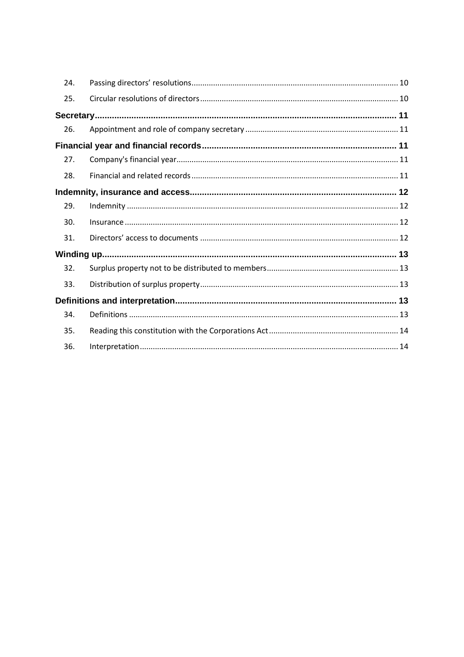| 24. |  |
|-----|--|
| 25. |  |
|     |  |
| 26. |  |
|     |  |
| 27. |  |
| 28. |  |
|     |  |
| 29. |  |
| 30. |  |
| 31. |  |
|     |  |
| 32. |  |
| 33. |  |
|     |  |
| 34. |  |
| 35. |  |
| 36. |  |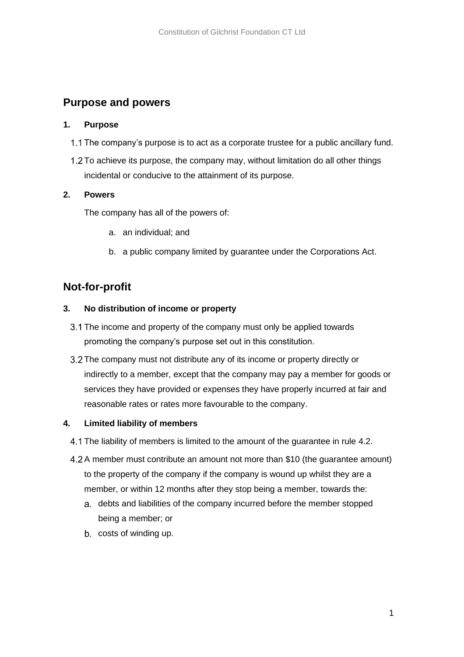## <span id="page-3-0"></span>**Purpose and powers**

### <span id="page-3-1"></span>**1. Purpose**

- 1.1 The company's purpose is to act as a corporate trustee for a public ancillary fund.
- 1.2 To achieve its purpose, the company may, without limitation do all other things incidental or conducive to the attainment of its purpose.

### <span id="page-3-2"></span>**2. Powers**

The company has all of the powers of:

- a. an individual; and
- b. a public company limited by guarantee under the Corporations Act.

# <span id="page-3-3"></span>**Not-for-profit**

### <span id="page-3-4"></span>**3. No distribution of income or property**

- 3.1 The income and property of the company must only be applied towards promoting the company's purpose set out in this constitution.
- 3.2 The company must not distribute any of its income or property directly or indirectly to a member, except that the company may pay a member for goods or services they have provided or expenses they have properly incurred at fair and reasonable rates or rates more favourable to the company.

### <span id="page-3-5"></span>**4. Limited liability of members**

- The liability of members is limited to the amount of the guarantee in rule 4.2.
- A member must contribute an amount not more than \$10 (the guarantee amount) to the property of the company if the company is wound up whilst they are a member, or within 12 months after they stop being a member, towards the:
	- a. debts and liabilities of the company incurred before the member stopped being a member; or
	- b. costs of winding up.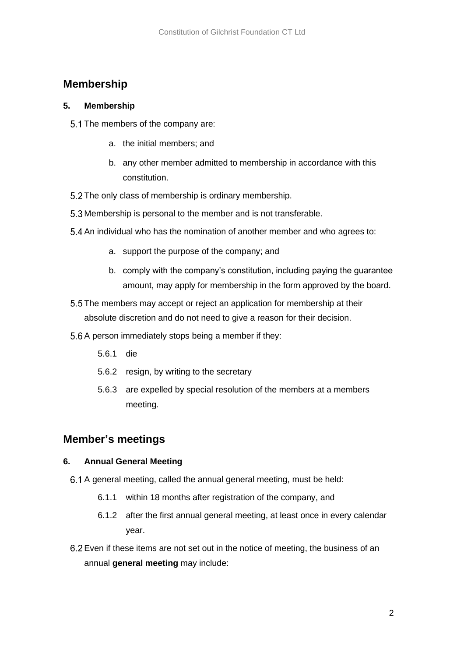# <span id="page-4-0"></span>**Membership**

### <span id="page-4-1"></span>**5. Membership**

- 5.1 The members of the company are:
	- a. the initial members; and
	- b. any other member admitted to membership in accordance with this constitution.
- 5.2 The only class of membership is ordinary membership.
- 5.3 Membership is personal to the member and is not transferable.
- 5.4 An individual who has the nomination of another member and who agrees to:
	- a. support the purpose of the company; and
	- b. comply with the company's constitution, including paying the guarantee amount, may apply for membership in the form approved by the board.
- 5.5 The members may accept or reject an application for membership at their absolute discretion and do not need to give a reason for their decision.
- 5.6 A person immediately stops being a member if they:
	- 5.6.1 die
	- 5.6.2 resign, by writing to the secretary
	- 5.6.3 are expelled by special resolution of the members at a members meeting.

## <span id="page-4-2"></span>**Member's meetings**

### <span id="page-4-3"></span>**6. Annual General Meeting**

- 6.1 A general meeting, called the annual general meeting, must be held:
	- 6.1.1 within 18 months after registration of the company, and
	- 6.1.2 after the first annual general meeting, at least once in every calendar year.
- Even if these items are not set out in the notice of meeting, the business of an annual **general meeting** may include: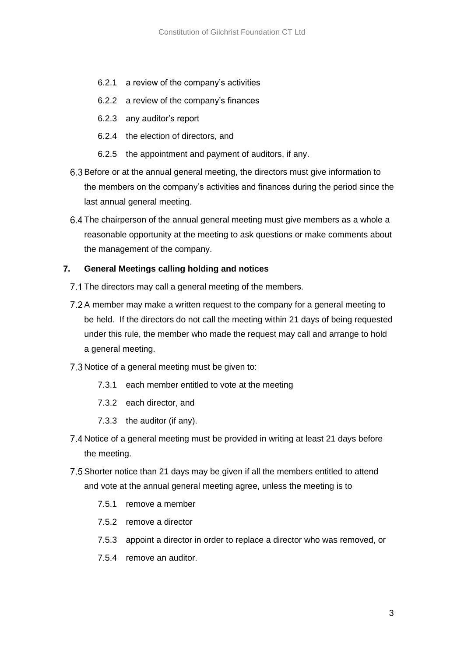- 6.2.1 a review of the company's activities
- 6.2.2 a review of the company's finances
- 6.2.3 any auditor's report
- 6.2.4 the election of directors, and
- 6.2.5 the appointment and payment of auditors, if any.
- 6.3 Before or at the annual general meeting, the directors must give information to the members on the company's activities and finances during the period since the last annual general meeting.
- 6.4 The chairperson of the annual general meeting must give members as a whole a reasonable opportunity at the meeting to ask questions or make comments about the management of the company.

### <span id="page-5-0"></span>**7. General Meetings calling holding and notices**

- 7.1 The directors may call a general meeting of the members.
- 7.2 A member may make a written request to the company for a general meeting to be held. If the directors do not call the meeting within 21 days of being requested under this rule, the member who made the request may call and arrange to hold a general meeting.
- 7.3 Notice of a general meeting must be given to:
	- 7.3.1 each member entitled to vote at the meeting
	- 7.3.2 each director, and
	- 7.3.3 the auditor (if any).
- 7.4 Notice of a general meeting must be provided in writing at least 21 days before the meeting.
- 7.5 Shorter notice than 21 days may be given if all the members entitled to attend and vote at the annual general meeting agree, unless the meeting is to
	- 7.5.1 remove a member
	- 7.5.2 remove a director
	- 7.5.3 appoint a director in order to replace a director who was removed, or
	- 7.5.4 remove an auditor.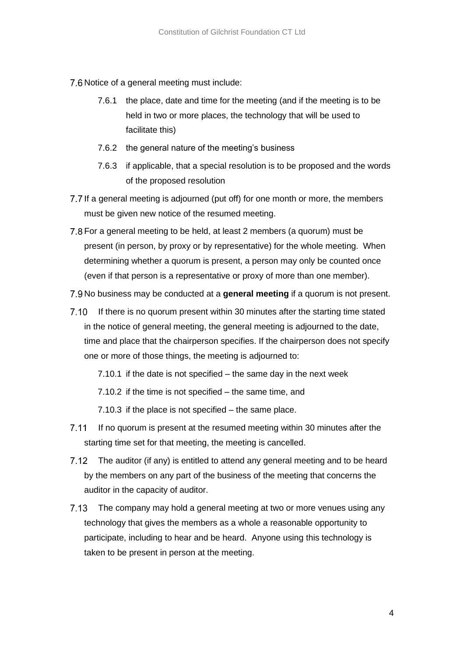- 7.6 Notice of a general meeting must include:
	- 7.6.1 the place, date and time for the meeting (and if the meeting is to be held in two or more places, the technology that will be used to facilitate this)
	- 7.6.2 the general nature of the meeting's business
	- 7.6.3 if applicable, that a special resolution is to be proposed and the words of the proposed resolution
- 7.7 If a general meeting is adjourned (put off) for one month or more, the members must be given new notice of the resumed meeting.
- 7.8 For a general meeting to be held, at least 2 members (a quorum) must be present (in person, by proxy or by representative) for the whole meeting. When determining whether a quorum is present, a person may only be counted once (even if that person is a representative or proxy of more than one member).
- 7.9 No business may be conducted at a **general meeting** if a quorum is not present.
- $7.10$ If there is no quorum present within 30 minutes after the starting time stated in the notice of general meeting, the general meeting is adjourned to the date, time and place that the chairperson specifies. If the chairperson does not specify one or more of those things, the meeting is adjourned to:

7.10.1 if the date is not specified – the same day in the next week

7.10.2 if the time is not specified – the same time, and

7.10.3 if the place is not specified – the same place.

- $7.11$ If no quorum is present at the resumed meeting within 30 minutes after the starting time set for that meeting, the meeting is cancelled.
- $7.12$ The auditor (if any) is entitled to attend any general meeting and to be heard by the members on any part of the business of the meeting that concerns the auditor in the capacity of auditor.
- 7.13 The company may hold a general meeting at two or more venues using any technology that gives the members as a whole a reasonable opportunity to participate, including to hear and be heard. Anyone using this technology is taken to be present in person at the meeting.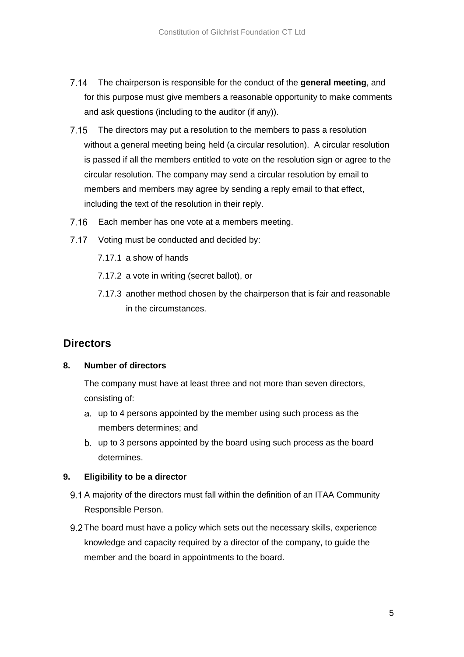- $7.14$ The chairperson is responsible for the conduct of the **general meeting**, and for this purpose must give members a reasonable opportunity to make comments and ask questions (including to the auditor (if any)).
- The directors may put a resolution to the members to pass a resolution without a general meeting being held (a circular resolution). A circular resolution is passed if all the members entitled to vote on the resolution sign or agree to the circular resolution. The company may send a circular resolution by email to members and members may agree by sending a reply email to that effect, including the text of the resolution in their reply.
- $7.16$ Each member has one vote at a members meeting.
- 7.17 Voting must be conducted and decided by:
	- 7.17.1 a show of hands
	- 7.17.2 a vote in writing (secret ballot), or
	- 7.17.3 another method chosen by the chairperson that is fair and reasonable in the circumstances.

### <span id="page-7-0"></span>**Directors**

### <span id="page-7-1"></span>**8. Number of directors**

The company must have at least three and not more than seven directors, consisting of:

- up to 4 persons appointed by the member using such process as the members determines; and
- up to 3 persons appointed by the board using such process as the board determines.

### <span id="page-7-2"></span>**9. Eligibility to be a director**

- 9.1 A majority of the directors must fall within the definition of an ITAA Community Responsible Person.
- 9.2 The board must have a policy which sets out the necessary skills, experience knowledge and capacity required by a director of the company, to guide the member and the board in appointments to the board.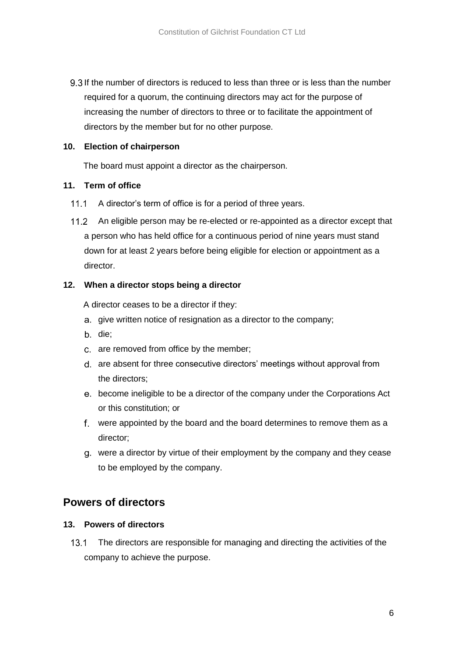9.3 If the number of directors is reduced to less than three or is less than the number required for a quorum, the continuing directors may act for the purpose of increasing the number of directors to three or to facilitate the appointment of directors by the member but for no other purpose.

### <span id="page-8-0"></span>**10. Election of chairperson**

The board must appoint a director as the chairperson.

### <span id="page-8-1"></span>**11. Term of office**

- $11.1$ A director's term of office is for a period of three years.
- An eligible person may be re-elected or re-appointed as a director except that  $11.2$ a person who has held office for a continuous period of nine years must stand down for at least 2 years before being eligible for election or appointment as a director.

### <span id="page-8-2"></span>**12. When a director stops being a director**

A director ceases to be a director if they:

- a. give written notice of resignation as a director to the company;
- b. die;
- c. are removed from office by the member;
- are absent for three consecutive directors' meetings without approval from the directors;
- become ineligible to be a director of the company under the Corporations Act or this constitution; or
- were appointed by the board and the board determines to remove them as a director;
- were a director by virtue of their employment by the company and they cease to be employed by the company.

### <span id="page-8-3"></span>**Powers of directors**

### <span id="page-8-4"></span>**13. Powers of directors**

 $13.1$ The directors are responsible for managing and directing the activities of the company to achieve the purpose.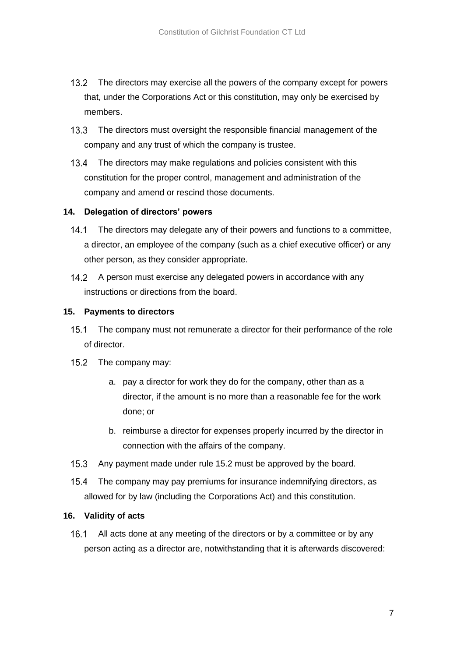- $13.2$ The directors may exercise all the powers of the company except for powers that, under the Corporations Act or this constitution, may only be exercised by members.
- $13.3$ The directors must oversight the responsible financial management of the company and any trust of which the company is trustee.
- 13.4 The directors may make regulations and policies consistent with this constitution for the proper control, management and administration of the company and amend or rescind those documents.

### <span id="page-9-0"></span>**14. Delegation of directors' powers**

- $14.1$ The directors may delegate any of their powers and functions to a committee, a director, an employee of the company (such as a chief executive officer) or any other person, as they consider appropriate.
- 14.2 A person must exercise any delegated powers in accordance with any instructions or directions from the board.

### <span id="page-9-1"></span>**15. Payments to directors**

- $15.1$ The company must not remunerate a director for their performance of the role of director.
- <span id="page-9-3"></span>15.2 The company may:
	- a. pay a director for work they do for the company, other than as a director, if the amount is no more than a reasonable fee for the work done; or
	- b. reimburse a director for expenses properly incurred by the director in connection with the affairs of the company.
- $15.3$ Any payment made under rule [15.2](#page-9-3) must be approved by the board.
- $15.4$ The company may pay premiums for insurance indemnifying directors, as allowed for by law (including the Corporations Act) and this constitution.

#### <span id="page-9-2"></span>**16. Validity of acts**

 $16.1$ All acts done at any meeting of the directors or by a committee or by any person acting as a director are, notwithstanding that it is afterwards discovered: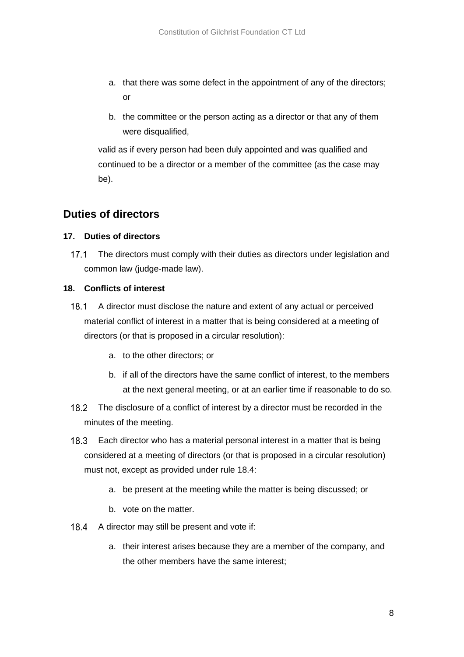- a. that there was some defect in the appointment of any of the directors; or
- b. the committee or the person acting as a director or that any of them were disqualified,

valid as if every person had been duly appointed and was qualified and continued to be a director or a member of the committee (as the case may be).

### <span id="page-10-0"></span>**Duties of directors**

### <span id="page-10-1"></span>**17. Duties of directors**

 $17.1$ The directors must comply with their duties as directors under legislation and common law (judge-made law).

### <span id="page-10-2"></span>**18. Conflicts of interest**

- $18.1$ A director must disclose the nature and extent of any actual or perceived material conflict of interest in a matter that is being considered at a meeting of directors (or that is proposed in a circular resolution):
	- a. to the other directors; or
	- b. if all of the directors have the same conflict of interest, to the members at the next general meeting, or at an earlier time if reasonable to do so.
- $18.2$ The disclosure of a conflict of interest by a director must be recorded in the minutes of the meeting.
- $18.3$ Each director who has a material personal interest in a matter that is being considered at a meeting of directors (or that is proposed in a circular resolution) must not, except as provided under rule [18.4:](#page-10-3)
	- a. be present at the meeting while the matter is being discussed; or
	- b. vote on the matter.
- <span id="page-10-3"></span> $18.4$ A director may still be present and vote if:
	- a. their interest arises because they are a member of the company, and the other members have the same interest;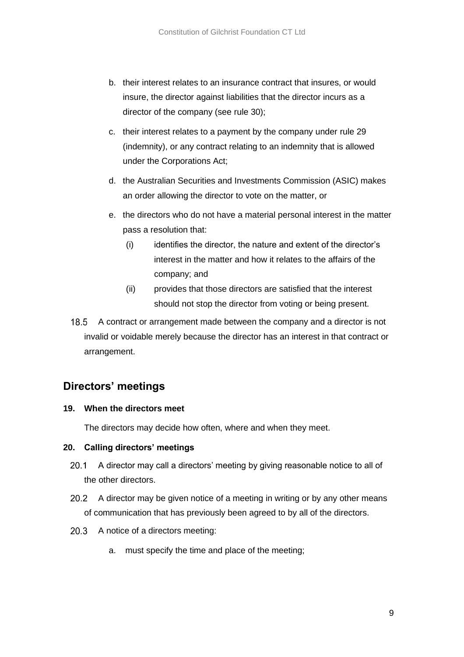- b. their interest relates to an insurance contract that insures, or would insure, the director against liabilities that the director incurs as a director of the company (see rule 30);
- c. their interest relates to a payment by the company under rule 29 (indemnity), or any contract relating to an indemnity that is allowed under the Corporations Act;
- d. the Australian Securities and Investments Commission (ASIC) makes an order allowing the director to vote on the matter, or
- e. the directors who do not have a material personal interest in the matter pass a resolution that:
	- (i) identifies the director, the nature and extent of the director's interest in the matter and how it relates to the affairs of the company; and
	- (ii) provides that those directors are satisfied that the interest should not stop the director from voting or being present.
- $18.5$ A contract or arrangement made between the company and a director is not invalid or voidable merely because the director has an interest in that contract or arrangement.

### <span id="page-11-0"></span>**Directors' meetings**

### <span id="page-11-1"></span>**19. When the directors meet**

The directors may decide how often, where and when they meet.

### <span id="page-11-2"></span>**20. Calling directors' meetings**

- A director may call a directors' meeting by giving reasonable notice to all of  $20.1$ the other directors.
- 20.2 A director may be given notice of a meeting in writing or by any other means of communication that has previously been agreed to by all of the directors.
- 20.3 A notice of a directors meeting:
	- a. must specify the time and place of the meeting;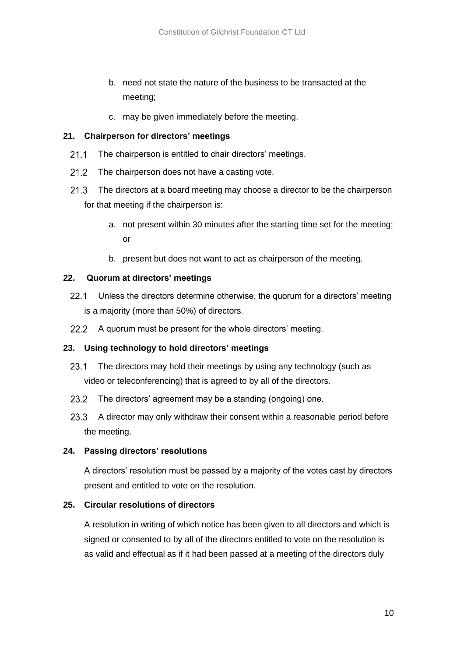- b. need not state the nature of the business to be transacted at the meeting;
- c. may be given immediately before the meeting.

### <span id="page-12-0"></span>**21. Chairperson for directors' meetings**

- $21.1$ The chairperson is entitled to chair directors' meetings.
- $21.2$ The chairperson does not have a casting vote.
- $21.3$ The directors at a board meeting may choose a director to be the chairperson for that meeting if the chairperson is:
	- a. not present within 30 minutes after the starting time set for the meeting; or
	- b. present but does not want to act as chairperson of the meeting.

#### <span id="page-12-1"></span>**22. Quorum at directors' meetings**

- $22.1$ Unless the directors determine otherwise, the quorum for a directors' meeting is a majority (more than 50%) of directors.
- 22.2 A quorum must be present for the whole directors' meeting.

#### <span id="page-12-2"></span>**23. Using technology to hold directors' meetings**

- $23.1$ The directors may hold their meetings by using any technology (such as video or teleconferencing) that is agreed to by all of the directors.
- $23.2$ The directors' agreement may be a standing (ongoing) one.
- $23.3$ A director may only withdraw their consent within a reasonable period before the meeting.

#### <span id="page-12-3"></span>**24. Passing directors' resolutions**

A directors' resolution must be passed by a majority of the votes cast by directors present and entitled to vote on the resolution.

#### <span id="page-12-4"></span>**25. Circular resolutions of directors**

A resolution in writing of which notice has been given to all directors and which is signed or consented to by all of the directors entitled to vote on the resolution is as valid and effectual as if it had been passed at a meeting of the directors duly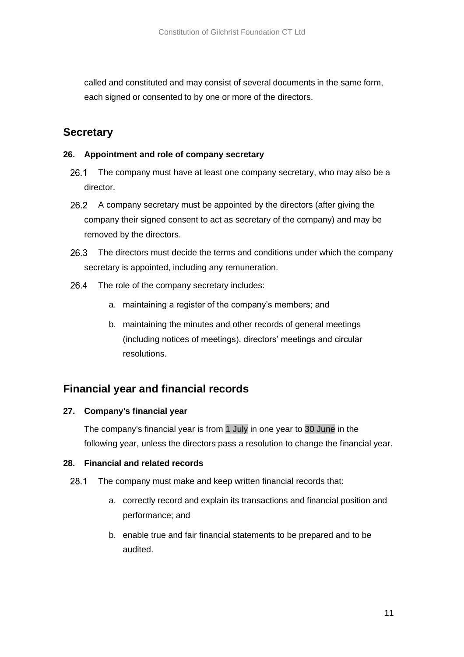called and constituted and may consist of several documents in the same form, each signed or consented to by one or more of the directors.

### <span id="page-13-0"></span>**Secretary**

### <span id="page-13-1"></span>**26. Appointment and role of company secretary**

- $26.1$ The company must have at least one company secretary, who may also be a director.
- 26.2 A company secretary must be appointed by the directors (after giving the company their signed consent to act as secretary of the company) and may be removed by the directors.
- 26.3 The directors must decide the terms and conditions under which the company secretary is appointed, including any remuneration.
- 26.4 The role of the company secretary includes:
	- a. maintaining a register of the company's members; and
	- b. maintaining the minutes and other records of general meetings (including notices of meetings), directors' meetings and circular resolutions.

### <span id="page-13-2"></span>**Financial year and financial records**

### <span id="page-13-3"></span>**27. Company's financial year**

The company's financial year is from 1 July in one year to 30 June in the following year, unless the directors pass a resolution to change the financial year.

### <span id="page-13-4"></span>**28. Financial and related records**

- $28.1$ The company must make and keep written financial records that:
	- a. correctly record and explain its transactions and financial position and performance; and
	- b. enable true and fair financial statements to be prepared and to be audited.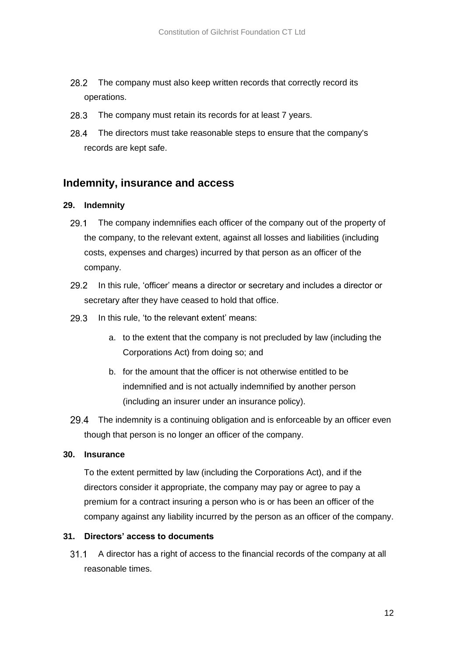- $28.2$ The company must also keep written records that correctly record its operations.
- 28.3 The company must retain its records for at least 7 years.
- 28.4 The directors must take reasonable steps to ensure that the company's records are kept safe.

### <span id="page-14-0"></span>**Indemnity, insurance and access**

### <span id="page-14-1"></span>**29. Indemnity**

- The company indemnifies each officer of the company out of the property of 29.1 the company, to the relevant extent, against all losses and liabilities (including costs, expenses and charges) incurred by that person as an officer of the company.
- $29.2$ In this rule, 'officer' means a director or secretary and includes a director or secretary after they have ceased to hold that office.
- $29.3$ In this rule, 'to the relevant extent' means:
	- a. to the extent that the company is not precluded by law (including the Corporations Act) from doing so; and
	- b. for the amount that the officer is not otherwise entitled to be indemnified and is not actually indemnified by another person (including an insurer under an insurance policy).
- 29.4 The indemnity is a continuing obligation and is enforceable by an officer even though that person is no longer an officer of the company.

#### <span id="page-14-2"></span>**30. Insurance**

To the extent permitted by law (including the Corporations Act), and if the directors consider it appropriate, the company may pay or agree to pay a premium for a contract insuring a person who is or has been an officer of the company against any liability incurred by the person as an officer of the company.

### <span id="page-14-3"></span>**31. Directors' access to documents**

A director has a right of access to the financial records of the company at all  $31.1$ reasonable times.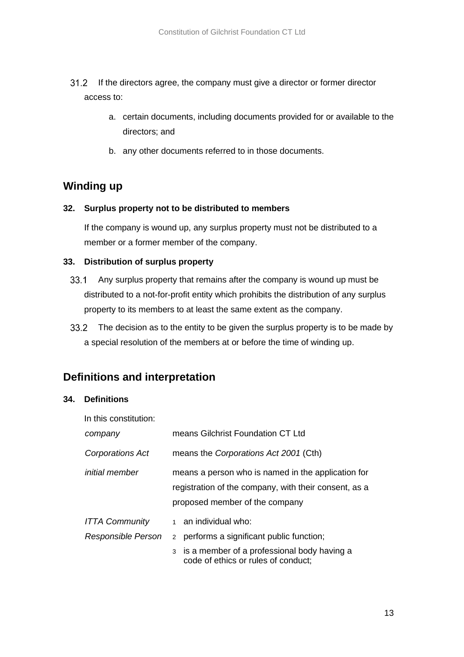- If the directors agree, the company must give a director or former director  $31.2$ access to:
	- a. certain documents, including documents provided for or available to the directors; and
	- b. any other documents referred to in those documents.

# <span id="page-15-0"></span>**Winding up**

### <span id="page-15-1"></span>**32. Surplus property not to be distributed to members**

If the company is wound up, any surplus property must not be distributed to a member or a former member of the company.

### <span id="page-15-2"></span>**33. Distribution of surplus property**

- $33.1$ Any surplus property that remains after the company is wound up must be distributed to a not-for-profit entity which prohibits the distribution of any surplus property to its members to at least the same extent as the company.
- 33.2 The decision as to the entity to be given the surplus property is to be made by a special resolution of the members at or before the time of winding up.

### <span id="page-15-3"></span>**Definitions and interpretation**

### <span id="page-15-4"></span>**34. Definitions**

| In this constitution:                       |                                                                                                                                               |
|---------------------------------------------|-----------------------------------------------------------------------------------------------------------------------------------------------|
| company                                     | means Gilchrist Foundation CT Ltd                                                                                                             |
| Corporations Act                            | means the Corporations Act 2001 (Cth)                                                                                                         |
| <i>initial member</i>                       | means a person who is named in the application for<br>registration of the company, with their consent, as a<br>proposed member of the company |
| <b>ITTA Community</b><br>Responsible Person | 1 an individual who:<br>performs a significant public function;<br>$2^{\circ}$                                                                |
|                                             | 3 is a member of a professional body having a<br>code of ethics or rules of conduct;                                                          |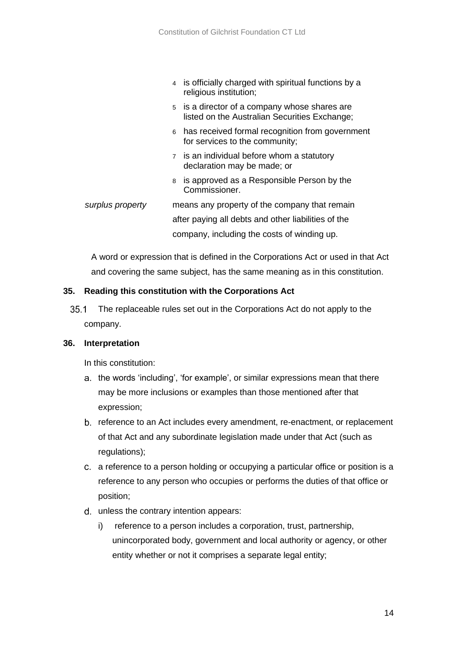- 4 is officially charged with spiritual functions by a religious institution;
	- 5 is a director of a company whose shares are listed on the Australian Securities Exchange;
	- 6 has received formal recognition from government for services to the community;
	- 7 is an individual before whom a statutory declaration may be made; or
	- 8 is approved as a Responsible Person by the Commissioner.
- *surplus property* means any property of the company that remain after paying all debts and other liabilities of the company, including the costs of winding up.

A word or expression that is defined in the Corporations Act or used in that Act and covering the same subject, has the same meaning as in this constitution.

### <span id="page-16-0"></span>**35. Reading this constitution with the Corporations Act**

 $35.1$ The replaceable rules set out in the Corporations Act do not apply to the company.

#### <span id="page-16-1"></span>**36. Interpretation**

In this constitution:

- a. the words 'including', 'for example', or similar expressions mean that there may be more inclusions or examples than those mentioned after that expression;
- reference to an Act includes every amendment, re-enactment, or replacement of that Act and any subordinate legislation made under that Act (such as regulations);
- a reference to a person holding or occupying a particular office or position is a reference to any person who occupies or performs the duties of that office or position;
- d. unless the contrary intention appears:
	- i) reference to a person includes a corporation, trust, partnership, unincorporated body, government and local authority or agency, or other entity whether or not it comprises a separate legal entity;